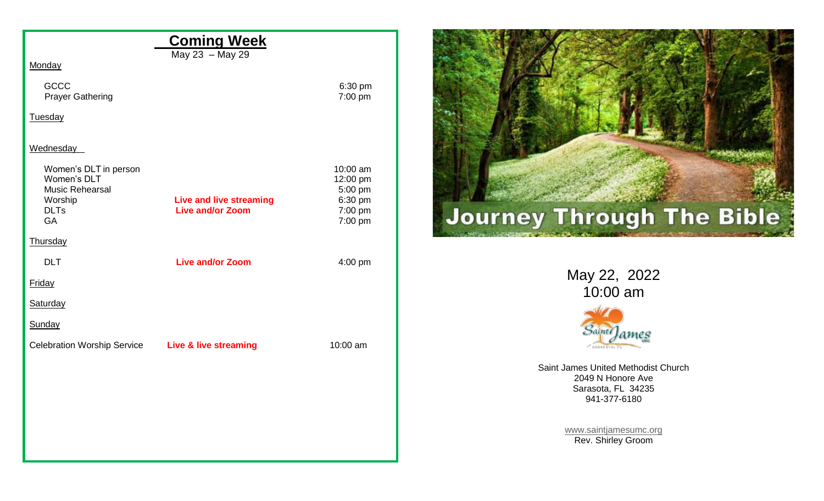|                                                        | <b>Coming Week</b>                                        |                                          |
|--------------------------------------------------------|-----------------------------------------------------------|------------------------------------------|
| Monday                                                 | May 23 - May 29                                           |                                          |
| GCCC<br><b>Prayer Gathering</b>                        |                                                           | 6:30 pm<br>7:00 pm                       |
| <b>Tuesday</b>                                         |                                                           |                                          |
| Wednesday<br>Women's DLT in person<br>Women's DLT      |                                                           | 10:00 am<br>12:00 pm                     |
| Music Rehearsal<br>Worship<br><b>DLTs</b><br><b>GA</b> | <b>Live and live streaming</b><br><b>Live and/or Zoom</b> | 5:00 pm<br>6:30 pm<br>7:00 pm<br>7:00 pm |
| Thursday                                               |                                                           |                                          |
| <b>DLT</b>                                             | <b>Live and/or Zoom</b>                                   | 4:00 pm                                  |
| Friday                                                 |                                                           |                                          |
| Saturday                                               |                                                           |                                          |
| Sunday                                                 |                                                           |                                          |
| Celebration Worship Service Live & live streaming      |                                                           | 10:00 am                                 |
|                                                        |                                                           |                                          |
|                                                        |                                                           |                                          |
|                                                        |                                                           |                                          |
|                                                        |                                                           |                                          |
|                                                        |                                                           |                                          |



May 22, 2022 10:00 am



Saint James United Methodist Church 2049 N Honore Ave Sarasota, FL 34235 941-377-6180

> [www.saintjamesumc.org](http://www.saintjamesumc.org/) Rev. Shirley Groom